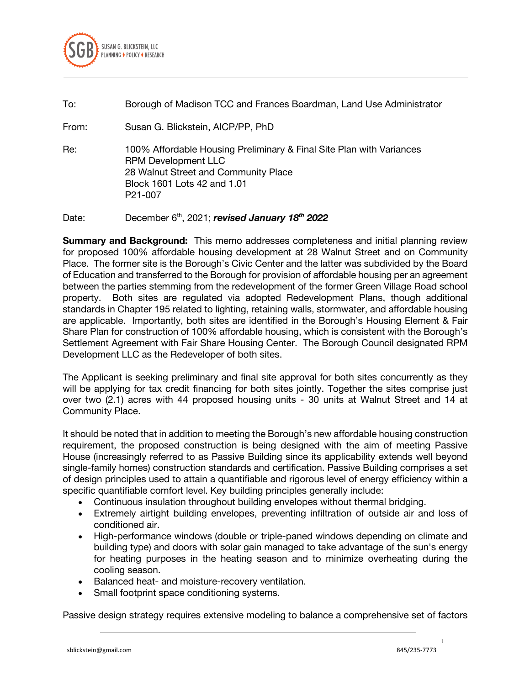

## To: Borough of Madison TCC and Frances Boardman, Land Use Administrator

From: Susan G. Blickstein, AICP/PP, PhD

Re: 100% Affordable Housing Preliminary & Final Site Plan with Variances RPM Development LLC 28 Walnut Street and Community Place Block 1601 Lots 42 and 1.01 P21-007

Date: December 6th, 2021; *revised January 18th 2022*

**Summary and Background:** This memo addresses completeness and initial planning review for proposed 100% affordable housing development at 28 Walnut Street and on Community Place. The former site is the Borough's Civic Center and the latter was subdivided by the Board of Education and transferred to the Borough for provision of affordable housing per an agreement between the parties stemming from the redevelopment of the former Green Village Road school property. Both sites are regulated via adopted Redevelopment Plans, though additional standards in Chapter 195 related to lighting, retaining walls, stormwater, and affordable housing are applicable. Importantly, both sites are identified in the Borough's Housing Element & Fair Share Plan for construction of 100% affordable housing, which is consistent with the Borough's Settlement Agreement with Fair Share Housing Center. The Borough Council designated RPM Development LLC as the Redeveloper of both sites.

The Applicant is seeking preliminary and final site approval for both sites concurrently as they will be applying for tax credit financing for both sites jointly. Together the sites comprise just over two (2.1) acres with 44 proposed housing units - 30 units at Walnut Street and 14 at Community Place.

It should be noted that in addition to meeting the Borough's new affordable housing construction requirement, the proposed construction is being designed with the aim of meeting Passive House (increasingly referred to as Passive Building since its applicability extends well beyond single-family homes) construction standards and certification. Passive Building comprises a set of design principles used to attain a quantifiable and rigorous level of energy efficiency within a specific quantifiable comfort level. Key building principles generally include:

- Continuous insulation throughout building envelopes without thermal bridging.
- Extremely airtight building envelopes, preventing infiltration of outside air and loss of conditioned air.
- High-performance windows (double or triple-paned windows depending on climate and building type) and doors with solar gain managed to take advantage of the sun's energy for heating purposes in the heating season and to minimize overheating during the cooling season.
- Balanced heat- and moisture-recovery ventilation.
- Small footprint space conditioning systems.

Passive design strategy requires extensive modeling to balance a comprehensive set of factors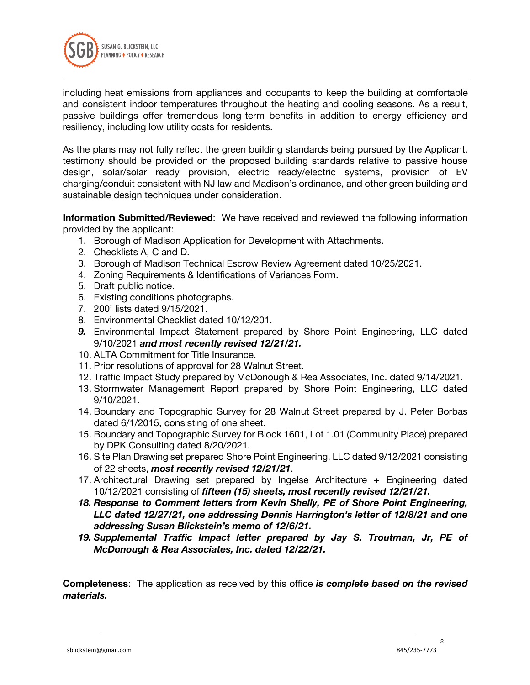

including heat emissions from appliances and occupants to keep the building at comfortable and consistent indoor temperatures throughout the heating and cooling seasons. As a result, passive buildings offer tremendous long-term benefits in addition to energy efficiency and resiliency, including low utility costs for residents.

As the plans may not fully reflect the green building standards being pursued by the Applicant, testimony should be provided on the proposed building standards relative to passive house design, solar/solar ready provision, electric ready/electric systems, provision of EV charging/conduit consistent with NJ law and Madison's ordinance, and other green building and sustainable design techniques under consideration.

**Information Submitted/Reviewed**: We have received and reviewed the following information provided by the applicant:

- 1. Borough of Madison Application for Development with Attachments.
- 2. Checklists A, C and D.
- 3. Borough of Madison Technical Escrow Review Agreement dated 10/25/2021.
- 4. Zoning Requirements & Identifications of Variances Form.
- 5. Draft public notice.
- 6. Existing conditions photographs.
- 7. 200' lists dated 9/15/2021.
- 8. Environmental Checklist dated 10/12/201.
- *9.* Environmental Impact Statement prepared by Shore Point Engineering, LLC dated 9/10/2021 *and most recently revised 12/21/21.*
- 10. ALTA Commitment for Title Insurance.
- 11. Prior resolutions of approval for 28 Walnut Street.
- 12. Traffic Impact Study prepared by McDonough & Rea Associates, Inc. dated 9/14/2021.
- 13. Stormwater Management Report prepared by Shore Point Engineering, LLC dated 9/10/2021.
- 14. Boundary and Topographic Survey for 28 Walnut Street prepared by J. Peter Borbas dated 6/1/2015, consisting of one sheet.
- 15. Boundary and Topographic Survey for Block 1601, Lot 1.01 (Community Place) prepared by DPK Consulting dated 8/20/2021.
- 16. Site Plan Drawing set prepared Shore Point Engineering, LLC dated 9/12/2021 consisting of 22 sheets, *most recently revised 12/21/21*.
- 17. Architectural Drawing set prepared by Ingelse Architecture + Engineering dated 10/12/2021 consisting of *fifteen (15) sheets, most recently revised 12/21/21.*
- *18. Response to Comment letters from Kevin Shelly, PE of Shore Point Engineering, LLC dated 12/27/21, one addressing Dennis Harrington's letter of 12/8/21 and one addressing Susan Blickstein's memo of 12/6/21.*
- *19. Supplemental Traffic Impact letter prepared by Jay S. Troutman, Jr, PE of McDonough & Rea Associates, Inc. dated 12/22/21.*

**Completeness**: The application as received by this office *is complete based on the revised materials.*

 $\mathfrak{p}$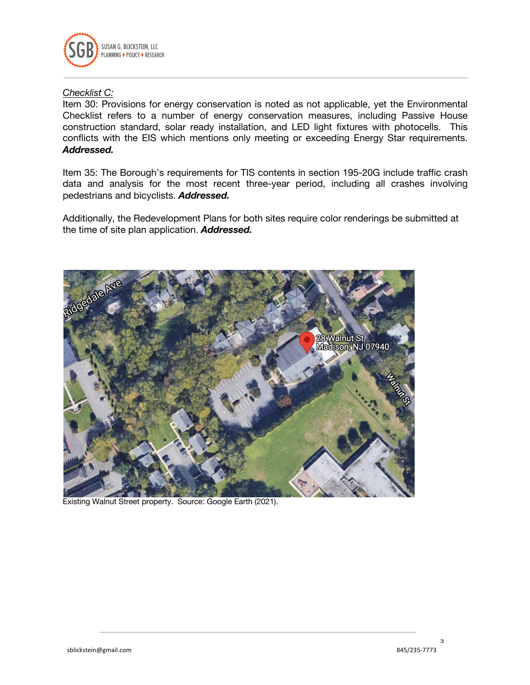

## *Checklist C:*

Item 30: Provisions for energy conservation is noted as not applicable, yet the Environmental Checklist refers to a number of energy conservation measures, including Passive House construction standard, solar ready installation, and LED light fixtures with photocells. This conflicts with the EIS which mentions only meeting or exceeding Energy Star requirements. *Addressed.*

Item 35: The Borough's requirements for TIS contents in section 195-20G include traffic crash data and analysis for the most recent three-year period, including all crashes involving pedestrians and bicyclists. *Addressed.*

Additionally, the Redevelopment Plans for both sites require color renderings be submitted at the time of site plan application. *Addressed.*



Existing Walnut Street property. Source: Google Earth (2021).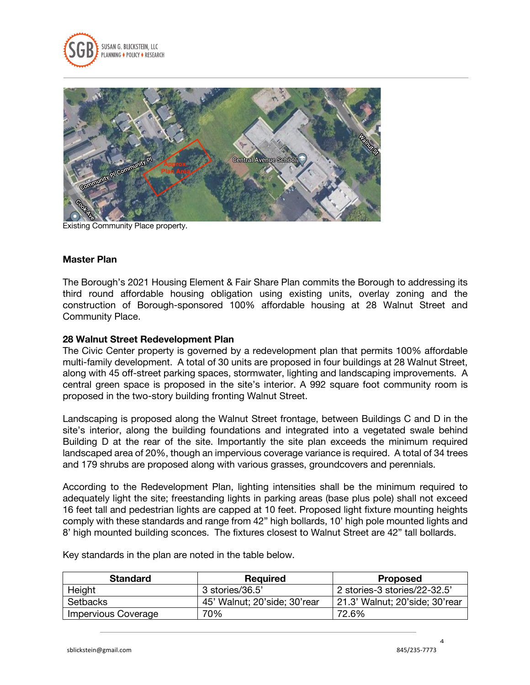



Existing Community Place property.

#### **Master Plan**

The Borough's 2021 Housing Element & Fair Share Plan commits the Borough to addressing its third round affordable housing obligation using existing units, overlay zoning and the construction of Borough-sponsored 100% affordable housing at 28 Walnut Street and Community Place.

## **28 Walnut Street Redevelopment Plan**

The Civic Center property is governed by a redevelopment plan that permits 100% affordable multi-family development. A total of 30 units are proposed in four buildings at 28 Walnut Street, along with 45 off-street parking spaces, stormwater, lighting and landscaping improvements. A central green space is proposed in the site's interior. A 992 square foot community room is proposed in the two-story building fronting Walnut Street.

Landscaping is proposed along the Walnut Street frontage, between Buildings C and D in the site's interior, along the building foundations and integrated into a vegetated swale behind Building D at the rear of the site. Importantly the site plan exceeds the minimum required landscaped area of 20%, though an impervious coverage variance is required. A total of 34 trees and 179 shrubs are proposed along with various grasses, groundcovers and perennials.

According to the Redevelopment Plan, lighting intensities shall be the minimum required to adequately light the site; freestanding lights in parking areas (base plus pole) shall not exceed 16 feet tall and pedestrian lights are capped at 10 feet. Proposed light fixture mounting heights comply with these standards and range from 42" high bollards, 10' high pole mounted lights and 8' high mounted building sconces. The fixtures closest to Walnut Street are 42" tall bollards.

| <b>Standard</b>            | <b>Required</b>              | <b>Proposed</b>                |
|----------------------------|------------------------------|--------------------------------|
| Height                     | 3 stories/36.5'              | 2 stories-3 stories/22-32.5'   |
| Setbacks                   | 45' Walnut; 20'side; 30'rear | 21.3' Walnut; 20'side; 30'rear |
| <b>Impervious Coverage</b> | 70%                          | 72.6%                          |

Key standards in the plan are noted in the table below.

 $\overline{A}$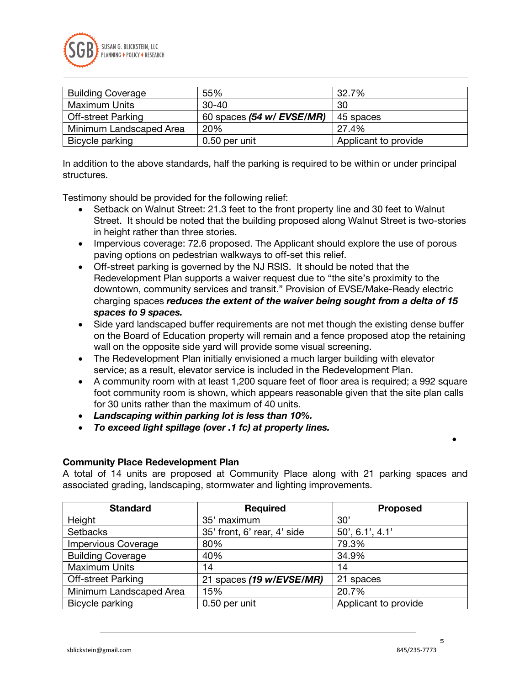

| <b>Building Coverage</b>  | 55%                       | 32.7%                |
|---------------------------|---------------------------|----------------------|
| <b>Maximum Units</b>      | $30 - 40$                 | 30                   |
| <b>Off-street Parking</b> | 60 spaces (54 w/ EVSE/MR) | 45 spaces            |
| Minimum Landscaped Area   | 20%                       | 27.4%                |
| Bicycle parking           | 0.50 per unit             | Applicant to provide |

In addition to the above standards, half the parking is required to be within or under principal structures.

Testimony should be provided for the following relief:

- Setback on Walnut Street: 21.3 feet to the front property line and 30 feet to Walnut Street. It should be noted that the building proposed along Walnut Street is two-stories in height rather than three stories.
- Impervious coverage: 72.6 proposed. The Applicant should explore the use of porous paving options on pedestrian walkways to off-set this relief.
- Off-street parking is governed by the NJ RSIS. It should be noted that the Redevelopment Plan supports a waiver request due to "the site's proximity to the downtown, community services and transit." Provision of EVSE/Make-Ready electric charging spaces *reduces the extent of the waiver being sought from a delta of 15 spaces to 9 spaces.*
- Side yard landscaped buffer requirements are not met though the existing dense buffer on the Board of Education property will remain and a fence proposed atop the retaining wall on the opposite side yard will provide some visual screening.
- The Redevelopment Plan initially envisioned a much larger building with elevator service; as a result, elevator service is included in the Redevelopment Plan.
- A community room with at least 1,200 square feet of floor area is required; a 992 square foot community room is shown, which appears reasonable given that the site plan calls for 30 units rather than the maximum of 40 units.
- *Landscaping within parking lot is less than 10%.*
- *To exceed light spillage (over .1 fc) at property lines.*

#### **Community Place Redevelopment Plan**

A total of 14 units are proposed at Community Place along with 21 parking spaces and associated grading, landscaping, stormwater and lighting improvements.

| <b>Standard</b>            | <b>Required</b>             | <b>Proposed</b>      |
|----------------------------|-----------------------------|----------------------|
| Height                     | 35' maximum                 | 30'                  |
| <b>Setbacks</b>            | 35' front, 6' rear, 4' side | 50', 6.1', 4.1'      |
| <b>Impervious Coverage</b> | 80%                         | 79.3%                |
| <b>Building Coverage</b>   | 40%                         | 34.9%                |
| <b>Maximum Units</b>       | 14                          | 14                   |
| <b>Off-street Parking</b>  | 21 spaces (19 w/EVSE/MR)    | 21 spaces            |
| Minimum Landscaped Area    | 15%                         | 20.7%                |
| Bicycle parking            | 0.50 per unit               | Applicant to provide |

5

•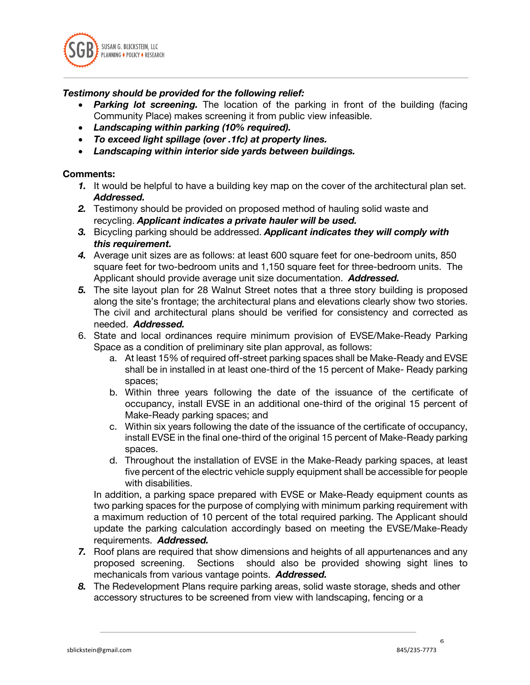

# *Testimony should be provided for the following relief:*

- *Parking lot screening.* The location of the parking in front of the building (facing Community Place) makes screening it from public view infeasible.
- *Landscaping within parking (10% required).*
- *To exceed light spillage (over .1fc) at property lines.*
- *Landscaping within interior side yards between buildings.*

## **Comments:**

- *1.* It would be helpful to have a building key map on the cover of the architectural plan set. *Addressed.*
- *2.* Testimony should be provided on proposed method of hauling solid waste and recycling. *Applicant indicates a private hauler will be used.*
- *3.* Bicycling parking should be addressed. *Applicant indicates they will comply with this requirement.*
- *4.* Average unit sizes are as follows: at least 600 square feet for one-bedroom units, 850 square feet for two-bedroom units and 1,150 square feet for three-bedroom units. The Applicant should provide average unit size documentation. *Addressed.*
- *5.* The site layout plan for 28 Walnut Street notes that a three story building is proposed along the site's frontage; the architectural plans and elevations clearly show two stories. The civil and architectural plans should be verified for consistency and corrected as needed. *Addressed.*
- 6. State and local ordinances require minimum provision of EVSE/Make-Ready Parking Space as a condition of preliminary site plan approval, as follows:
	- a. At least 15% of required off-street parking spaces shall be Make-Ready and EVSE shall be in installed in at least one-third of the 15 percent of Make- Ready parking spaces;
	- b. Within three years following the date of the issuance of the certificate of occupancy, install EVSE in an additional one-third of the original 15 percent of Make-Ready parking spaces; and
	- c. Within six years following the date of the issuance of the certificate of occupancy, install EVSE in the final one-third of the original 15 percent of Make-Ready parking spaces.
	- d. Throughout the installation of EVSE in the Make-Ready parking spaces, at least five percent of the electric vehicle supply equipment shall be accessible for people with disabilities.

In addition, a parking space prepared with EVSE or Make-Ready equipment counts as two parking spaces for the purpose of complying with minimum parking requirement with a maximum reduction of 10 percent of the total required parking. The Applicant should update the parking calculation accordingly based on meeting the EVSE/Make-Ready requirements. *Addressed.*

- *7.* Roof plans are required that show dimensions and heights of all appurtenances and any proposed screening. Sections should also be provided showing sight lines to mechanicals from various vantage points. *Addressed.*
- *8.* The Redevelopment Plans require parking areas, solid waste storage, sheds and other accessory structures to be screened from view with landscaping, fencing or a